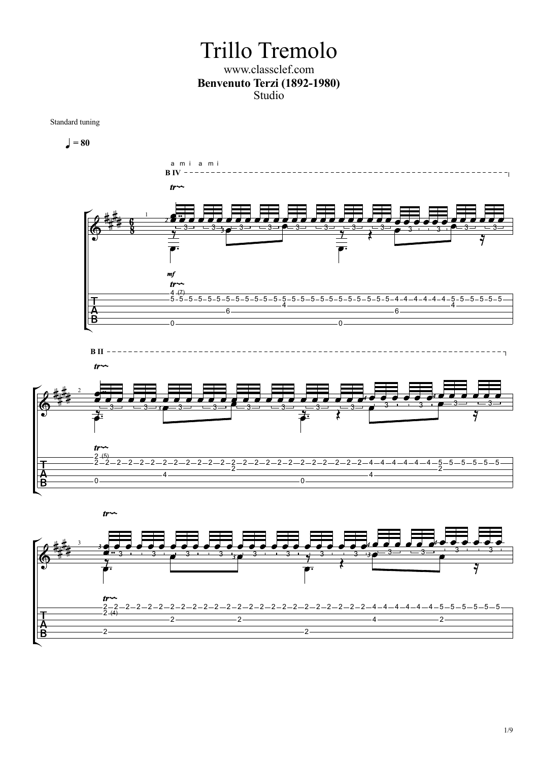## Trillo Tremolo www.classclef.com **Benvenuto Terzi (1892-1980)**

**Studio** 

Standard tuning

$$
\bullet = 80
$$



 $tr$ 

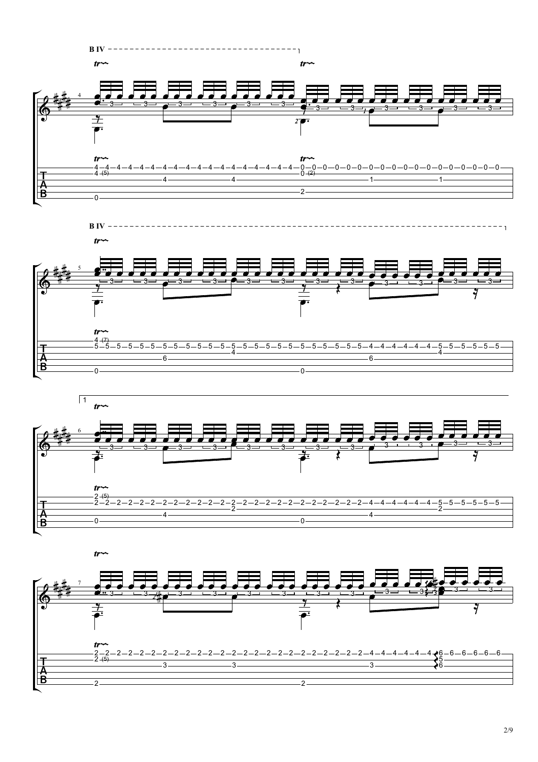

**B IV**

 $tr$   $\sim$ 





 $tr$   $\sim$ 

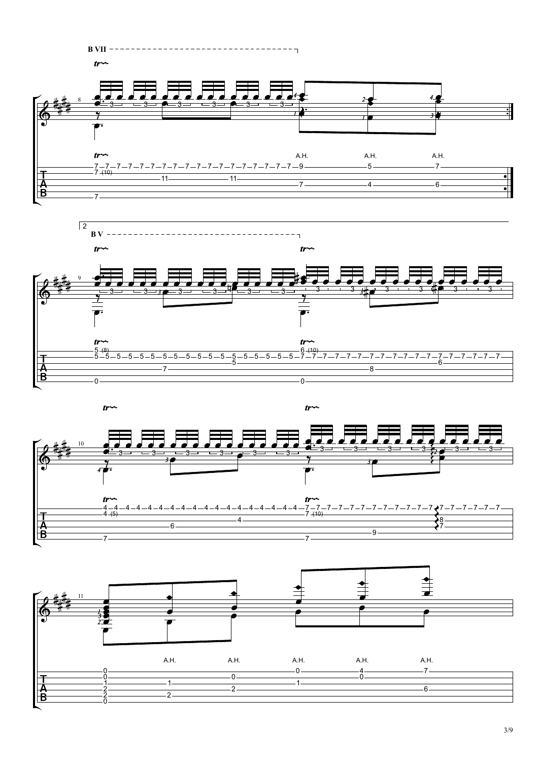











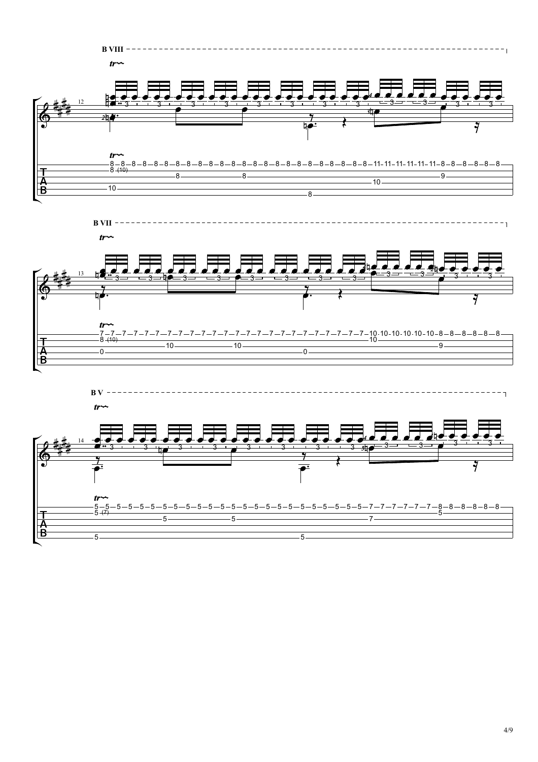



 $tr$ 



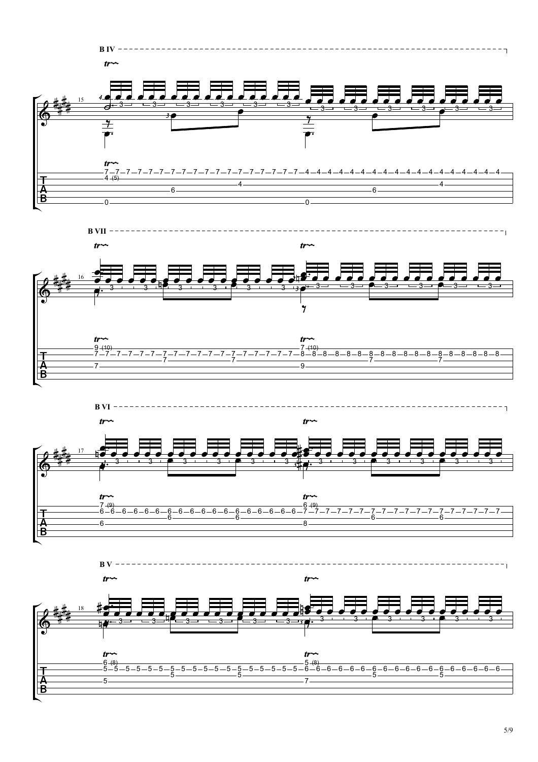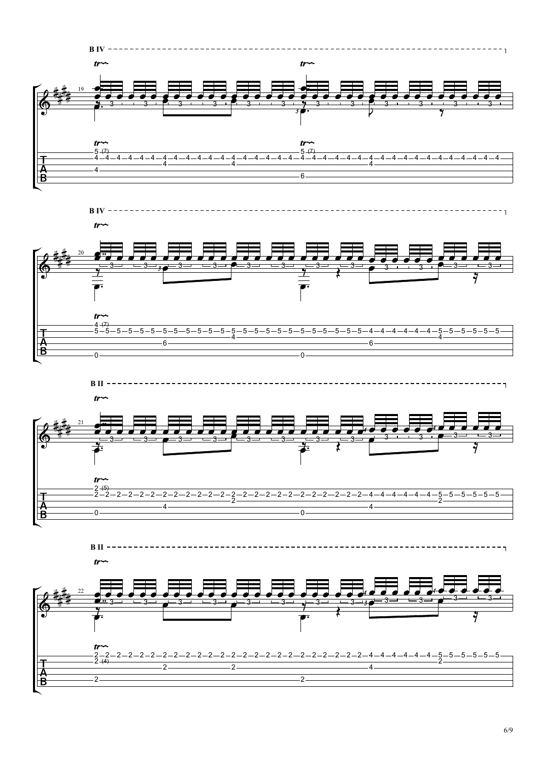

 $BIV - -$ 









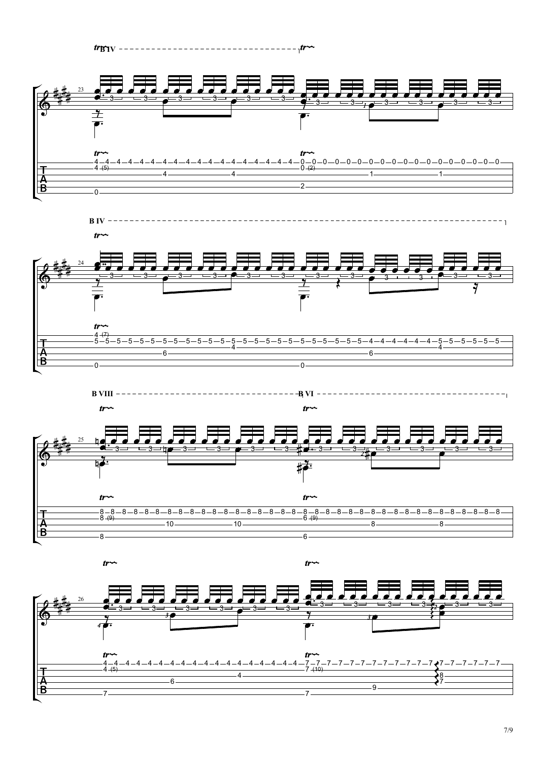

**B IV**





 $tr$   $\sim$ 



 $tr$   $\sim$ 

 $tr$   $\sim$ 

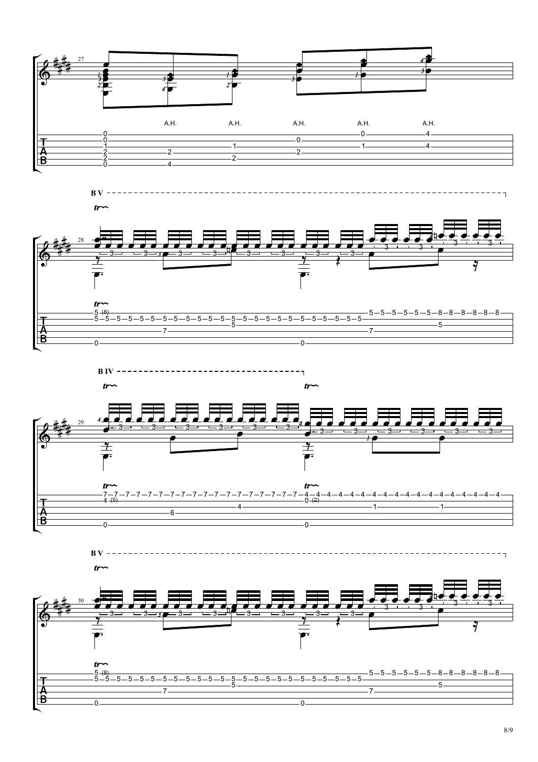



 $tr$   $\sim$ 







 $30 \leftarrow$  $7 - 7$  $\overline{\phantom{a}}$  $3 -3 \bullet$   $3 \bullet$  3 3 3 3 3 3 3  $\overline{ }$  $\overline{\bullet}$ 



 $\overline{3}$   $\overline{\phantom{1}}$   $\overline{3}$   $\overline{\phantom{1}}$   $\overline{3}$   $\overline{\phantom{1}}$   $\overline{3}$   $\overline{\phantom{1}}$   $\overline{3}$   $\overline{\phantom{1}}$   $\overline{3}$   $\overline{\phantom{1}}$   $\overline{3}$   $\overline{\phantom{1}}$   $\overline{3}$   $\overline{\phantom{1}}$   $\overline{3}$   $\overline{\phantom{1}}$   $\overline{3}$   $\overline{\phantom{1}}$   $\overline{3}$   $\$ 

 $\mathcal{J}$